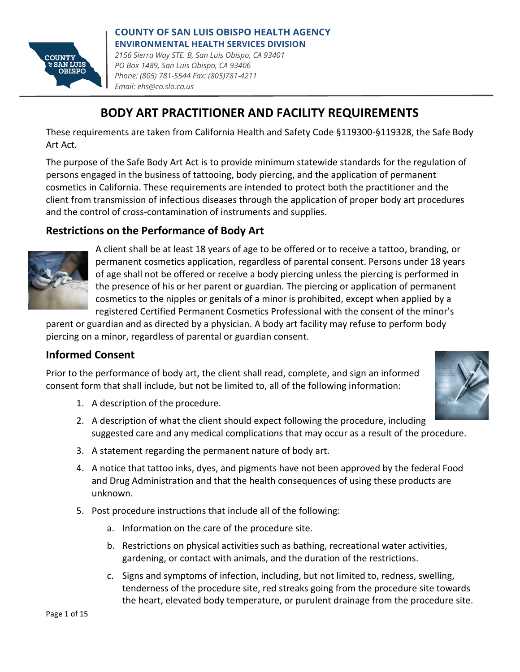

*Phone: (805) 781-5544 Fax: (805)781-4211*

# **BODY ART PRACTITIONER AND FACILITY REQUIREMENTS**

These requirements are taken from California Health and Safety Code §119300-§119328, the Safe Body Art Act.

The purpose of the Safe Body Art Act is to provide minimum statewide standards for the regulation of persons engaged in the business of tattooing, body piercing, and the application of permanent cosmetics in California. These requirements are intended to protect both the practitioner and the client from transmission of infectious diseases through the application of proper body art procedures and the control of cross-contamination of instruments and supplies.

### **Restrictions on the Performance of Body Art**

*Email: ehs@co.slo.ca.us*



A client shall be at least 18 years of age to be offered or to receive a tattoo, branding, or permanent cosmetics application, regardless of parental consent. Persons under 18 years of age shall not be offered or receive a body piercing unless the piercing is performed in the presence of his or her parent or guardian. The piercing or application of permanent cosmetics to the nipples or genitals of a minor is prohibited, except when applied by a registered Certified Permanent Cosmetics Professional with the consent of the minor's

parent or guardian and as directed by a physician. A body art facility may refuse to perform body piercing on a minor, regardless of parental or guardian consent.

### **Informed Consent**

Prior to the performance of body art, the client shall read, complete, and sign an informed consent form that shall include, but not be limited to, all of the following information:

- 1. A description of the procedure.
- 2. A description of what the client should expect following the procedure, including suggested care and any medical complications that may occur as a result of the procedure.
- 3. A statement regarding the permanent nature of body art.
- 4. A notice that tattoo inks, dyes, and pigments have not been approved by the federal Food and Drug Administration and that the health consequences of using these products are unknown.
- 5. Post procedure instructions that include all of the following:
	- a. Information on the care of the procedure site.
	- b. Restrictions on physical activities such as bathing, recreational water activities, gardening, or contact with animals, and the duration of the restrictions.
	- c. Signs and symptoms of infection, including, but not limited to, redness, swelling, tenderness of the procedure site, red streaks going from the procedure site towards the heart, elevated body temperature, or purulent drainage from the procedure site.

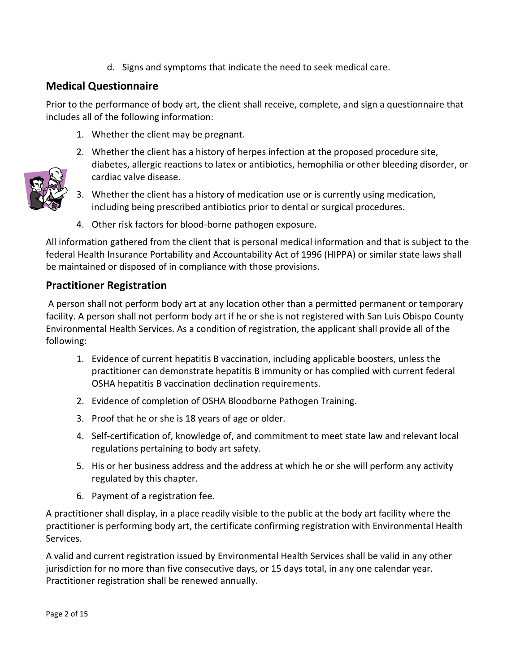d. Signs and symptoms that indicate the need to seek medical care.

# **Medical Questionnaire**

Prior to the performance of body art, the client shall receive, complete, and sign a questionnaire that includes all of the following information:

- 1. Whether the client may be pregnant.
- 2. Whether the client has a history of herpes infection at the proposed procedure site, diabetes, allergic reactions to latex or antibiotics, hemophilia or other bleeding disorder, or cardiac valve disease.



- 3. Whether the client has a history of medication use or is currently using medication, including being prescribed antibiotics prior to dental or surgical procedures.
- 4. Other risk factors for blood-borne pathogen exposure.

All information gathered from the client that is personal medical information and that is subject to the federal Health Insurance Portability and Accountability Act of 1996 (HIPPA) or similar state laws shall be maintained or disposed of in compliance with those provisions.

### **Practitioner Registration**

A person shall not perform body art at any location other than a permitted permanent or temporary facility. A person shall not perform body art if he or she is not registered with San Luis Obispo County Environmental Health Services. As a condition of registration, the applicant shall provide all of the following:

- 1. Evidence of current hepatitis B vaccination, including applicable boosters, unless the practitioner can demonstrate hepatitis B immunity or has complied with current federal OSHA hepatitis B vaccination declination requirements.
- 2. Evidence of completion of OSHA Bloodborne Pathogen Training.
- 3. Proof that he or she is 18 years of age or older.
- 4. Self-certification of, knowledge of, and commitment to meet state law and relevant local regulations pertaining to body art safety.
- 5. His or her business address and the address at which he or she will perform any activity regulated by this chapter.
- 6. Payment of a registration fee.

A practitioner shall display, in a place readily visible to the public at the body art facility where the practitioner is performing body art, the certificate confirming registration with Environmental Health Services.

A valid and current registration issued by Environmental Health Services shall be valid in any other jurisdiction for no more than five consecutive days, or 15 days total, in any one calendar year. Practitioner registration shall be renewed annually.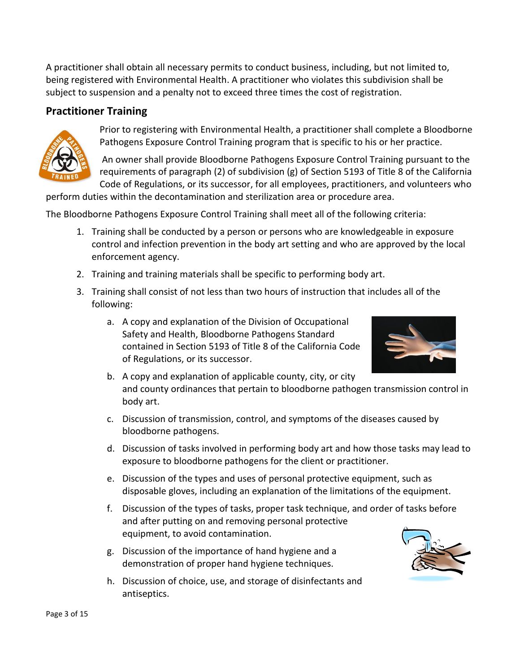A practitioner shall obtain all necessary permits to conduct business, including, but not limited to, being registered with Environmental Health. A practitioner who violates this subdivision shall be subject to suspension and a penalty not to exceed three times the cost of registration.

### **Practitioner Training**



Prior to registering with Environmental Health, a practitioner shall complete a Bloodborne Pathogens Exposure Control Training program that is specific to his or her practice.

An owner shall provide Bloodborne Pathogens Exposure Control Training pursuant to the requirements of paragraph (2) of subdivision (g) of Section 5193 of Title 8 of the California Code of Regulations, or its successor, for all employees, practitioners, and volunteers who

perform duties within the decontamination and sterilization area or procedure area.

The Bloodborne Pathogens Exposure Control Training shall meet all of the following criteria:

- 1. Training shall be conducted by a person or persons who are knowledgeable in exposure control and infection prevention in the body art setting and who are approved by the local enforcement agency.
- 2. Training and training materials shall be specific to performing body art.
- 3. Training shall consist of not less than two hours of instruction that includes all of the following:
	- a. A copy and explanation of the Division of Occupational Safety and Health, Bloodborne Pathogens Standard contained in Section 5193 of Title 8 of the California Code of Regulations, or its successor.



- b. A copy and explanation of applicable county, city, or city and county ordinances that pertain to bloodborne pathogen transmission control in body art.
- c. Discussion of transmission, control, and symptoms of the diseases caused by bloodborne pathogens.
- d. Discussion of tasks involved in performing body art and how those tasks may lead to exposure to bloodborne pathogens for the client or practitioner.
- e. Discussion of the types and uses of personal protective equipment, such as disposable gloves, including an explanation of the limitations of the equipment.
- f. Discussion of the types of tasks, proper task technique, and order of tasks before and after putting on and removing personal protective equipment, to avoid contamination.
- g. Discussion of the importance of hand hygiene and a demonstration of proper hand hygiene techniques.
- h. Discussion of choice, use, and storage of disinfectants and antiseptics.

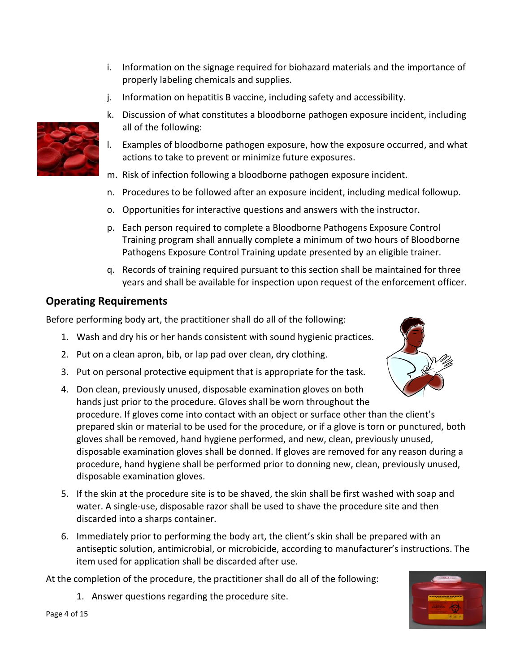- i. Information on the signage required for biohazard materials and the importance of properly labeling chemicals and supplies.
- j. Information on hepatitis B vaccine, including safety and accessibility.



- l. Examples of bloodborne pathogen exposure, how the exposure occurred, and what actions to take to prevent or minimize future exposures.
- m. Risk of infection following a bloodborne pathogen exposure incident.
- n. Procedures to be followed after an exposure incident, including medical followup.
- o. Opportunities for interactive questions and answers with the instructor.
- p. Each person required to complete a Bloodborne Pathogens Exposure Control Training program shall annually complete a minimum of two hours of Bloodborne Pathogens Exposure Control Training update presented by an eligible trainer.
- q. Records of training required pursuant to this section shall be maintained for three years and shall be available for inspection upon request of the enforcement officer.

#### **Operating Requirements**

Before performing body art, the practitioner shall do all of the following:

- 1. Wash and dry his or her hands consistent with sound hygienic practices.
- 2. Put on a clean apron, bib, or lap pad over clean, dry clothing.
- 3. Put on personal protective equipment that is appropriate for the task.
- 4. Don clean, previously unused, disposable examination gloves on both hands just prior to the procedure. Gloves shall be worn throughout the procedure. If gloves come into contact with an object or surface other than the client's prepared skin or material to be used for the procedure, or if a glove is torn or punctured, both gloves shall be removed, hand hygiene performed, and new, clean, previously unused, disposable examination gloves shall be donned. If gloves are removed for any reason during a procedure, hand hygiene shall be performed prior to donning new, clean, previously unused, disposable examination gloves.
- 5. If the skin at the procedure site is to be shaved, the skin shall be first washed with soap and water. A single-use, disposable razor shall be used to shave the procedure site and then discarded into a sharps container.
- 6. Immediately prior to performing the body art, the client's skin shall be prepared with an antiseptic solution, antimicrobial, or microbicide, according to manufacturer's instructions. The item used for application shall be discarded after use.

At the completion of the procedure, the practitioner shall do all of the following:

1. Answer questions regarding the procedure site.



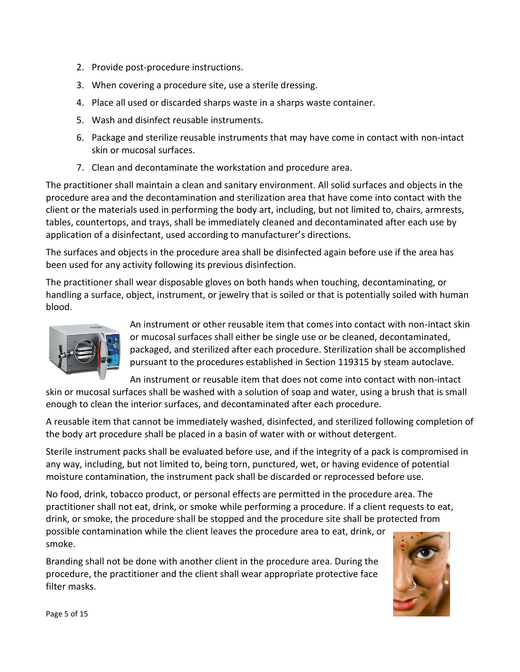- 2. Provide post-procedure instructions.
- 3. When covering a procedure site, use a sterile dressing.
- 4. Place all used or discarded sharps waste in a sharps waste container.
- 5. Wash and disinfect reusable instruments.
- 6. Package and sterilize reusable instruments that may have come in contact with non-intact skin or mucosal surfaces.
- 7. Clean and decontaminate the workstation and procedure area.

The practitioner shall maintain a clean and sanitary environment. All solid surfaces and objects in the procedure area and the decontamination and sterilization area that have come into contact with the client or the materials used in performing the body art, including, but not limited to, chairs, armrests, tables, countertops, and trays, shall be immediately cleaned and decontaminated after each use by application of a disinfectant, used according to manufacturer's directions.

The surfaces and objects in the procedure area shall be disinfected again before use if the area has been used for any activity following its previous disinfection.

The practitioner shall wear disposable gloves on both hands when touching, decontaminating, or handling a surface, object, instrument, or jewelry that is soiled or that is potentially soiled with human blood.



An instrument or other reusable item that comes into contact with non-intact skin or mucosal surfaces shall either be single use or be cleaned, decontaminated, packaged, and sterilized after each procedure. Sterilization shall be accomplished pursuant to the procedures established in Section 119315 by steam autoclave.

An instrument or reusable item that does not come into contact with non-intact

skin or mucosal surfaces shall be washed with a solution of soap and water, using a brush that is small enough to clean the interior surfaces, and decontaminated after each procedure.

A reusable item that cannot be immediately washed, disinfected, and sterilized following completion of the body art procedure shall be placed in a basin of water with or without detergent.

Sterile instrument packs shall be evaluated before use, and if the integrity of a pack is compromised in any way, including, but not limited to, being torn, punctured, wet, or having evidence of potential moisture contamination, the instrument pack shall be discarded or reprocessed before use.

No food, drink, tobacco product, or personal effects are permitted in the procedure area. The practitioner shall not eat, drink, or smoke while performing a procedure. If a client requests to eat, drink, or smoke, the procedure shall be stopped and the procedure site shall be protected from possible contamination while the client leaves the procedure area to eat, drink, or smoke.

Branding shall not be done with another client in the procedure area. During the procedure, the practitioner and the client shall wear appropriate protective face filter masks.

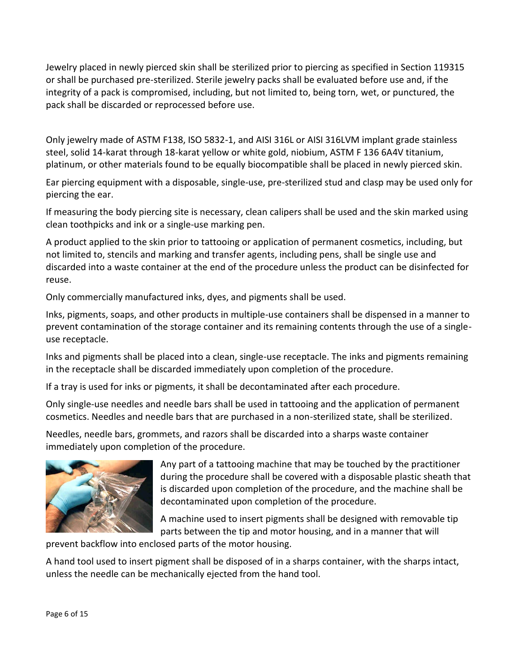Jewelry placed in newly pierced skin shall be sterilized prior to piercing as specified in Section 119315 or shall be purchased pre-sterilized. Sterile jewelry packs shall be evaluated before use and, if the integrity of a pack is compromised, including, but not limited to, being torn, wet, or punctured, the pack shall be discarded or reprocessed before use.

Only jewelry made of ASTM F138, ISO 5832-1, and AISI 316L or AISI 316LVM implant grade stainless steel, solid 14-karat through 18-karat yellow or white gold, niobium, ASTM F 136 6A4V titanium, platinum, or other materials found to be equally biocompatible shall be placed in newly pierced skin.

Ear piercing equipment with a disposable, single-use, pre-sterilized stud and clasp may be used only for piercing the ear.

If measuring the body piercing site is necessary, clean calipers shall be used and the skin marked using clean toothpicks and ink or a single-use marking pen.

A product applied to the skin prior to tattooing or application of permanent cosmetics, including, but not limited to, stencils and marking and transfer agents, including pens, shall be single use and discarded into a waste container at the end of the procedure unless the product can be disinfected for reuse.

Only commercially manufactured inks, dyes, and pigments shall be used.

Inks, pigments, soaps, and other products in multiple-use containers shall be dispensed in a manner to prevent contamination of the storage container and its remaining contents through the use of a singleuse receptacle.

Inks and pigments shall be placed into a clean, single-use receptacle. The inks and pigments remaining in the receptacle shall be discarded immediately upon completion of the procedure.

If a tray is used for inks or pigments, it shall be decontaminated after each procedure.

Only single-use needles and needle bars shall be used in tattooing and the application of permanent cosmetics. Needles and needle bars that are purchased in a non-sterilized state, shall be sterilized.

Needles, needle bars, grommets, and razors shall be discarded into a sharps waste container immediately upon completion of the procedure.



Any part of a tattooing machine that may be touched by the practitioner during the procedure shall be covered with a disposable plastic sheath that is discarded upon completion of the procedure, and the machine shall be decontaminated upon completion of the procedure.

A machine used to insert pigments shall be designed with removable tip parts between the tip and motor housing, and in a manner that will

prevent backflow into enclosed parts of the motor housing.

A hand tool used to insert pigment shall be disposed of in a sharps container, with the sharps intact, unless the needle can be mechanically ejected from the hand tool.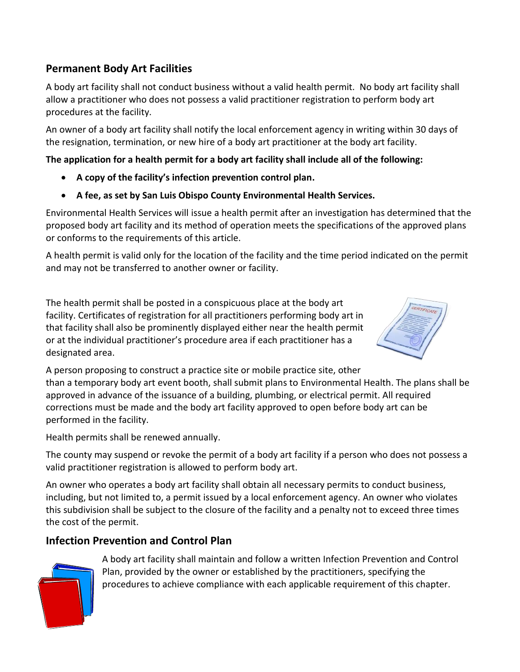# **Permanent Body Art Facilities**

A body art facility shall not conduct business without a valid health permit. No body art facility shall allow a practitioner who does not possess a valid practitioner registration to perform body art procedures at the facility.

An owner of a body art facility shall notify the local enforcement agency in writing within 30 days of the resignation, termination, or new hire of a body art practitioner at the body art facility.

**The application for a health permit for a body art facility shall include all of the following:**

- **A copy of the facility's infection prevention control plan.**
- **A fee, as set by San Luis Obispo County Environmental Health Services.**

Environmental Health Services will issue a health permit after an investigation has determined that the proposed body art facility and its method of operation meets the specifications of the approved plans or conforms to the requirements of this article.

A health permit is valid only for the location of the facility and the time period indicated on the permit and may not be transferred to another owner or facility.

The health permit shall be posted in a conspicuous place at the body art facility. Certificates of registration for all practitioners performing body art in that facility shall also be prominently displayed either near the health permit or at the individual practitioner's procedure area if each practitioner has a designated area.



A person proposing to construct a practice site or mobile practice site, other than a temporary body art event booth, shall submit plans to Environmental Health. The plans shall be approved in advance of the issuance of a building, plumbing, or electrical permit. All required corrections must be made and the body art facility approved to open before body art can be performed in the facility.

Health permits shall be renewed annually.

The county may suspend or revoke the permit of a body art facility if a person who does not possess a valid practitioner registration is allowed to perform body art.

An owner who operates a body art facility shall obtain all necessary permits to conduct business, including, but not limited to, a permit issued by a local enforcement agency. An owner who violates this subdivision shall be subject to the closure of the facility and a penalty not to exceed three times the cost of the permit.

# **Infection Prevention and Control Plan**



A body art facility shall maintain and follow a written Infection Prevention and Control Plan, provided by the owner or established by the practitioners, specifying the procedures to achieve compliance with each applicable requirement of this chapter.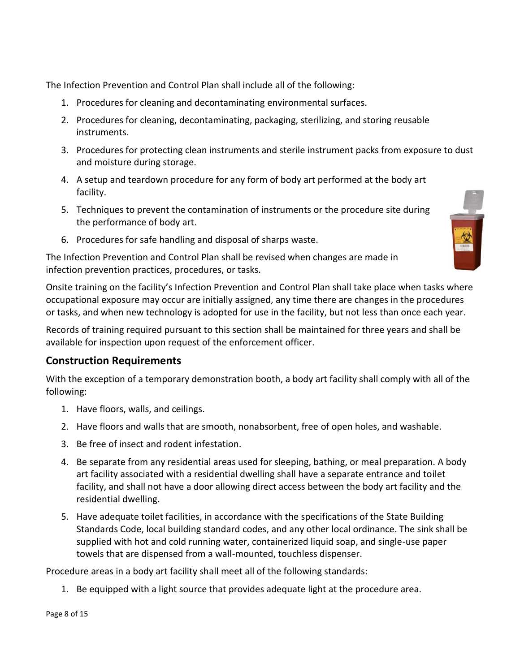The Infection Prevention and Control Plan shall include all of the following:

- 1. Procedures for cleaning and decontaminating environmental surfaces.
- 2. Procedures for cleaning, decontaminating, packaging, sterilizing, and storing reusable instruments.
- 3. Procedures for protecting clean instruments and sterile instrument packs from exposure to dust and moisture during storage.

- 4. A setup and teardown procedure for any form of body art performed at the body art facility.
- 5. Techniques to prevent the contamination of instruments or the procedure site during the performance of body art.
- 6. Procedures for safe handling and disposal of sharps waste.

The Infection Prevention and Control Plan shall be revised when changes are made in infection prevention practices, procedures, or tasks.

Onsite training on the facility's Infection Prevention and Control Plan shall take place when tasks where occupational exposure may occur are initially assigned, any time there are changes in the procedures or tasks, and when new technology is adopted for use in the facility, but not less than once each year.

Records of training required pursuant to this section shall be maintained for three years and shall be available for inspection upon request of the enforcement officer.

### **Construction Requirements**

With the exception of a temporary demonstration booth, a body art facility shall comply with all of the following:

- 1. Have floors, walls, and ceilings.
- 2. Have floors and walls that are smooth, nonabsorbent, free of open holes, and washable.
- 3. Be free of insect and rodent infestation.
- 4. Be separate from any residential areas used for sleeping, bathing, or meal preparation. A body art facility associated with a residential dwelling shall have a separate entrance and toilet facility, and shall not have a door allowing direct access between the body art facility and the residential dwelling.
- 5. Have adequate toilet facilities, in accordance with the specifications of the State Building Standards Code, local building standard codes, and any other local ordinance. The sink shall be supplied with hot and cold running water, containerized liquid soap, and single-use paper towels that are dispensed from a wall-mounted, touchless dispenser.

Procedure areas in a body art facility shall meet all of the following standards:

1. Be equipped with a light source that provides adequate light at the procedure area.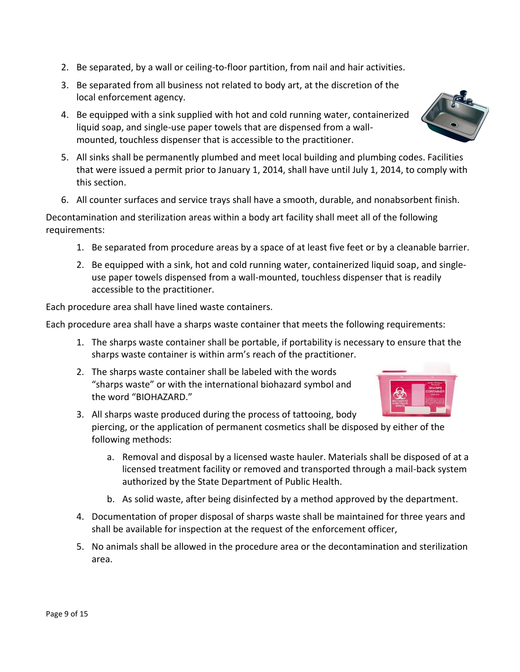- 2. Be separated, by a wall or ceiling-to-floor partition, from nail and hair activities.
- 3. Be separated from all business not related to body art, at the discretion of the local enforcement agency.
- 4. Be equipped with a sink supplied with hot and cold running water, containerized liquid soap, and single-use paper towels that are dispensed from a wallmounted, touchless dispenser that is accessible to the practitioner.
- 5. All sinks shall be permanently plumbed and meet local building and plumbing codes. Facilities that were issued a permit prior to January 1, 2014, shall have until July 1, 2014, to comply with this section.
- 6. All counter surfaces and service trays shall have a smooth, durable, and nonabsorbent finish.

Decontamination and sterilization areas within a body art facility shall meet all of the following requirements:

- 1. Be separated from procedure areas by a space of at least five feet or by a cleanable barrier.
- 2. Be equipped with a sink, hot and cold running water, containerized liquid soap, and singleuse paper towels dispensed from a wall-mounted, touchless dispenser that is readily accessible to the practitioner.

Each procedure area shall have lined waste containers.

Each procedure area shall have a sharps waste container that meets the following requirements:

- 1. The sharps waste container shall be portable, if portability is necessary to ensure that the sharps waste container is within arm's reach of the practitioner.
- 2. The sharps waste container shall be labeled with the words "sharps waste" or with the international biohazard symbol and the word "BIOHAZARD."



- a. Removal and disposal by a licensed waste hauler. Materials shall be disposed of at a licensed treatment facility or removed and transported through a mail-back system authorized by the State Department of Public Health.
- b. As solid waste, after being disinfected by a method approved by the department.
- 4. Documentation of proper disposal of sharps waste shall be maintained for three years and shall be available for inspection at the request of the enforcement officer,
- 5. No animals shall be allowed in the procedure area or the decontamination and sterilization area.

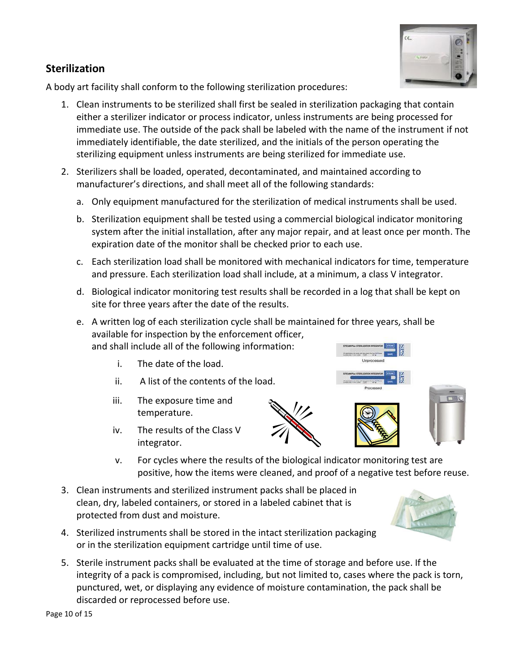#### **Sterilization**

A body art facility shall conform to the following sterilization procedures:

- 1. Clean instruments to be sterilized shall first be sealed in sterilization packaging that contain either a sterilizer indicator or process indicator, unless instruments are being processed for immediate use. The outside of the pack shall be labeled with the name of the instrument if not immediately identifiable, the date sterilized, and the initials of the person operating the sterilizing equipment unless instruments are being sterilized for immediate use.
- 2. Sterilizers shall be loaded, operated, decontaminated, and maintained according to manufacturer's directions, and shall meet all of the following standards:
	- a. Only equipment manufactured for the sterilization of medical instruments shall be used.
	- b. Sterilization equipment shall be tested using a commercial biological indicator monitoring system after the initial installation, after any major repair, and at least once per month. The expiration date of the monitor shall be checked prior to each use.
	- c. Each sterilization load shall be monitored with mechanical indicators for time, temperature and pressure. Each sterilization load shall include, at a minimum, a class V integrator.
	- d. Biological indicator monitoring test results shall be recorded in a log that shall be kept on site for three years after the date of the results.
	- e. A written log of each sterilization cycle shall be maintained for three years, shall be available for inspection by the enforcement officer, and shall include all of the following information:
		- i. The date of the load.
		- ii. A list of the contents of the load.
		- iii. The exposure time and temperature.
		- iv. The results of the Class V integrator.
		- v. For cycles where the results of the biological indicator monitoring test are positive, how the items were cleaned, and proof of a negative test before reuse.
- 3. Clean instruments and sterilized instrument packs shall be placed in clean, dry, labeled containers, or stored in a labeled cabinet that is protected from dust and moisture.
- 4. Sterilized instruments shall be stored in the intact sterilization packaging or in the sterilization equipment cartridge until time of use.
- 5. Sterile instrument packs shall be evaluated at the time of storage and before use. If the integrity of a pack is compromised, including, but not limited to, cases where the pack is torn, punctured, wet, or displaying any evidence of moisture contamination, the pack shall be discarded or reprocessed before use.







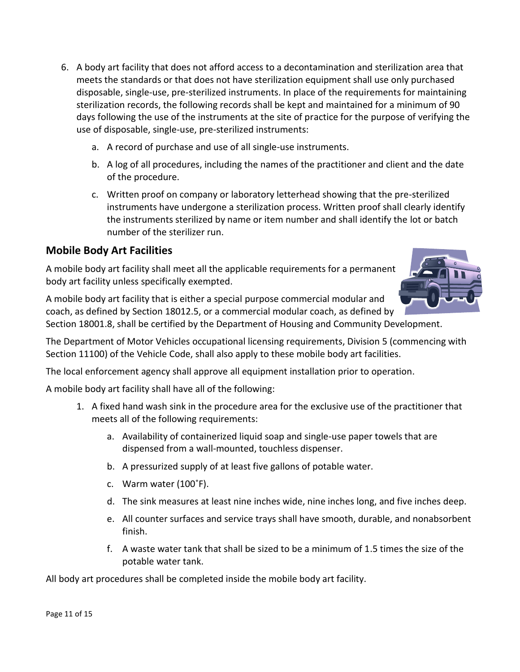- 6. A body art facility that does not afford access to a decontamination and sterilization area that meets the standards or that does not have sterilization equipment shall use only purchased disposable, single-use, pre-sterilized instruments. In place of the requirements for maintaining sterilization records, the following records shall be kept and maintained for a minimum of 90 days following the use of the instruments at the site of practice for the purpose of verifying the use of disposable, single-use, pre-sterilized instruments:
	- a. A record of purchase and use of all single-use instruments.
	- b. A log of all procedures, including the names of the practitioner and client and the date of the procedure.
	- c. Written proof on company or laboratory letterhead showing that the pre-sterilized instruments have undergone a sterilization process. Written proof shall clearly identify the instruments sterilized by name or item number and shall identify the lot or batch number of the sterilizer run.

### **Mobile Body Art Facilities**

A mobile body art facility shall meet all the applicable requirements for a permanent body art facility unless specifically exempted.

A mobile body art facility that is either a special purpose commercial modular and coach, as defined by Section 18012.5, or a commercial modular coach, as defined by Section 18001.8, shall be certified by the Department of Housing and Community Development.

The Department of Motor Vehicles occupational licensing requirements, Division 5 (commencing with Section 11100) of the Vehicle Code, shall also apply to these mobile body art facilities.

The local enforcement agency shall approve all equipment installation prior to operation.

A mobile body art facility shall have all of the following:

- 1. A fixed hand wash sink in the procedure area for the exclusive use of the practitioner that meets all of the following requirements:
	- a. Availability of containerized liquid soap and single-use paper towels that are dispensed from a wall-mounted, touchless dispenser.
	- b. A pressurized supply of at least five gallons of potable water.
	- c. Warm water (100˚F).
	- d. The sink measures at least nine inches wide, nine inches long, and five inches deep.
	- e. All counter surfaces and service trays shall have smooth, durable, and nonabsorbent finish.
	- f. A waste water tank that shall be sized to be a minimum of 1.5 times the size of the potable water tank.

All body art procedures shall be completed inside the mobile body art facility.

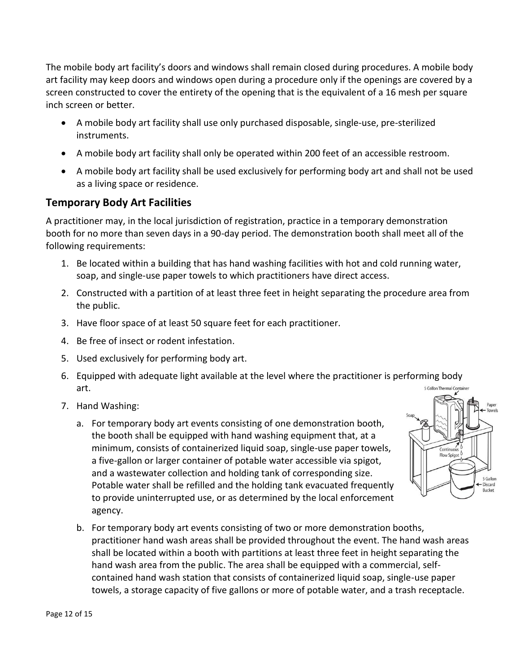The mobile body art facility's doors and windows shall remain closed during procedures. A mobile body art facility may keep doors and windows open during a procedure only if the openings are covered by a screen constructed to cover the entirety of the opening that is the equivalent of a 16 mesh per square inch screen or better.

- A mobile body art facility shall use only purchased disposable, single-use, pre-sterilized instruments.
- A mobile body art facility shall only be operated within 200 feet of an accessible restroom.
- A mobile body art facility shall be used exclusively for performing body art and shall not be used as a living space or residence.

### **Temporary Body Art Facilities**

A practitioner may, in the local jurisdiction of registration, practice in a temporary demonstration booth for no more than seven days in a 90-day period. The demonstration booth shall meet all of the following requirements:

- 1. Be located within a building that has hand washing facilities with hot and cold running water, soap, and single-use paper towels to which practitioners have direct access.
- 2. Constructed with a partition of at least three feet in height separating the procedure area from the public.
- 3. Have floor space of at least 50 square feet for each practitioner.
- 4. Be free of insect or rodent infestation.
- 5. Used exclusively for performing body art.
- 6. Equipped with adequate light available at the level where the practitioner is performing body art. 5 Gallon Thermal Contai
- 7. Hand Washing:
	- a. For temporary body art events consisting of one demonstration booth, the booth shall be equipped with hand washing equipment that, at a minimum, consists of containerized liquid soap, single-use paper towels, a five-gallon or larger container of potable water accessible via spigot, and a wastewater collection and holding tank of corresponding size. Potable water shall be refilled and the holding tank evacuated frequently to provide uninterrupted use, or as determined by the local enforcement agency.
	- b. For temporary body art events consisting of two or more demonstration booths, practitioner hand wash areas shall be provided throughout the event. The hand wash areas shall be located within a booth with partitions at least three feet in height separating the hand wash area from the public. The area shall be equipped with a commercial, selfcontained hand wash station that consists of containerized liquid soap, single-use paper towels, a storage capacity of five gallons or more of potable water, and a trash receptacle.

Continu low Spigo

> 5 Gallon Discard Bucket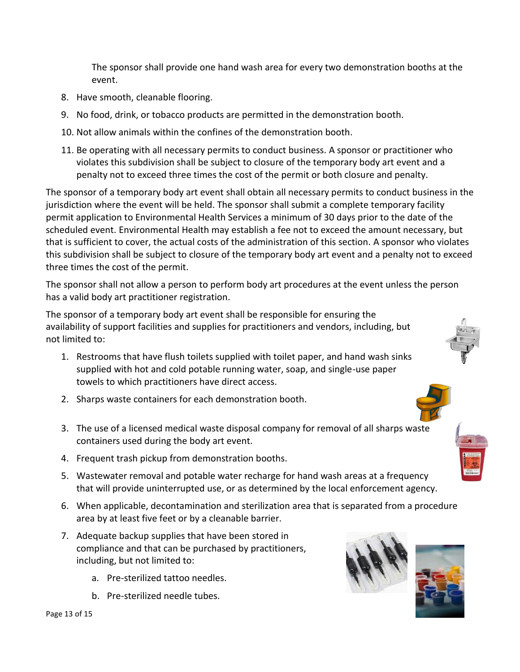The sponsor shall provide one hand wash area for every two demonstration booths at the event.

- 8. Have smooth, cleanable flooring.
- 9. No food, drink, or tobacco products are permitted in the demonstration booth.
- 10. Not allow animals within the confines of the demonstration booth.
- 11. Be operating with all necessary permits to conduct business. A sponsor or practitioner who violates this subdivision shall be subject to closure of the temporary body art event and a penalty not to exceed three times the cost of the permit or both closure and penalty.

The sponsor of a temporary body art event shall obtain all necessary permits to conduct business in the jurisdiction where the event will be held. The sponsor shall submit a complete temporary facility permit application to Environmental Health Services a minimum of 30 days prior to the date of the scheduled event. Environmental Health may establish a fee not to exceed the amount necessary, but that is sufficient to cover, the actual costs of the administration of this section. A sponsor who violates this subdivision shall be subject to closure of the temporary body art event and a penalty not to exceed three times the cost of the permit.

The sponsor shall not allow a person to perform body art procedures at the event unless the person has a valid body art practitioner registration.

The sponsor of a temporary body art event shall be responsible for ensuring the availability of support facilities and supplies for practitioners and vendors, including, but not limited to:

- 1. Restrooms that have flush toilets supplied with toilet paper, and hand wash sinks supplied with hot and cold potable running water, soap, and single-use paper towels to which practitioners have direct access.
- 2. Sharps waste containers for each demonstration booth.
- 3. The use of a licensed medical waste disposal company for removal of all sharps waste containers used during the body art event.
- 4. Frequent trash pickup from demonstration booths.
- 5. Wastewater removal and potable water recharge for hand wash areas at a frequency that will provide uninterrupted use, or as determined by the local enforcement agency.
- 6. When applicable, decontamination and sterilization area that is separated from a procedure area by at least five feet or by a cleanable barrier.
- 7. Adequate backup supplies that have been stored in compliance and that can be purchased by practitioners, including, but not limited to:
	- a. Pre-sterilized tattoo needles.
	- b. Pre-sterilized needle tubes.







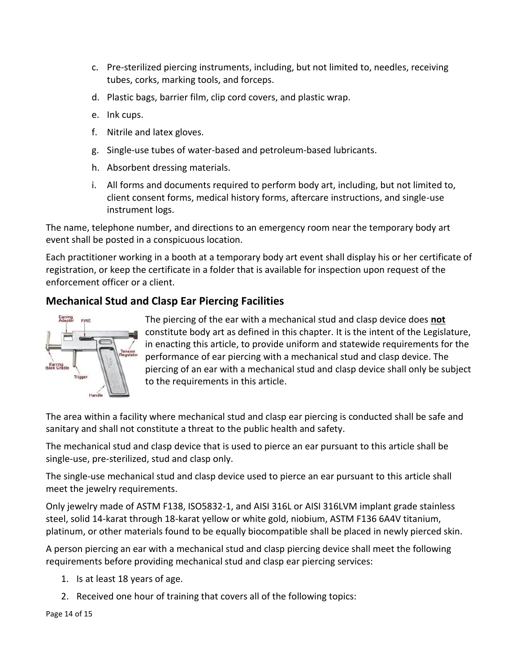- c. Pre-sterilized piercing instruments, including, but not limited to, needles, receiving tubes, corks, marking tools, and forceps.
- d. Plastic bags, barrier film, clip cord covers, and plastic wrap.
- e. Ink cups.
- f. Nitrile and latex gloves.
- g. Single-use tubes of water-based and petroleum-based lubricants.
- h. Absorbent dressing materials.
- i. All forms and documents required to perform body art, including, but not limited to, client consent forms, medical history forms, aftercare instructions, and single-use instrument logs.

The name, telephone number, and directions to an emergency room near the temporary body art event shall be posted in a conspicuous location.

Each practitioner working in a booth at a temporary body art event shall display his or her certificate of registration, or keep the certificate in a folder that is available for inspection upon request of the enforcement officer or a client.

## **Mechanical Stud and Clasp Ear Piercing Facilities**



The piercing of the ear with a mechanical stud and clasp device does **not** constitute body art as defined in this chapter. It is the intent of the Legislature, in enacting this article, to provide uniform and statewide requirements for the performance of ear piercing with a mechanical stud and clasp device. The piercing of an ear with a mechanical stud and clasp device shall only be subject to the requirements in this article.

The area within a facility where mechanical stud and clasp ear piercing is conducted shall be safe and sanitary and shall not constitute a threat to the public health and safety.

The mechanical stud and clasp device that is used to pierce an ear pursuant to this article shall be single-use, pre-sterilized, stud and clasp only.

The single-use mechanical stud and clasp device used to pierce an ear pursuant to this article shall meet the jewelry requirements.

Only jewelry made of ASTM F138, ISO5832-1, and AISI 316L or AISI 316LVM implant grade stainless steel, solid 14-karat through 18-karat yellow or white gold, niobium, ASTM F136 6A4V titanium, platinum, or other materials found to be equally biocompatible shall be placed in newly pierced skin.

A person piercing an ear with a mechanical stud and clasp piercing device shall meet the following requirements before providing mechanical stud and clasp ear piercing services:

- 1. Is at least 18 years of age.
- 2. Received one hour of training that covers all of the following topics:

Page 14 of 15